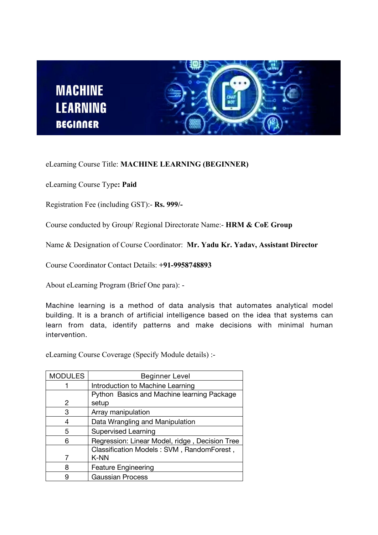



eLearning Course Title: **MACHINE LEARNING (BEGINNER)**

eLearning Course Type**: Paid**

Registration Fee (including GST):- **Rs.999/-**

Course conducted by Group/ Regional Directorate Name:- **HRM & CoE Group**

Name & Designation of Course Coordinator: **Mr. Yadu Kr. Yadav, Assistant Director**

Course Coordinator Contact Details: **+91-9958748893**

About eLearning Program (Brief One para): -

**Machine learning isa method of data analysis that automates analytical model building. It is a branch of artificial intelligence based on the idea that systems can learn from data, identify patterns and make decisions with minimal human intervention.**

eLearning Course Coverage (Specify Module details) :-

| <b>MODULES</b> | <b>Beginner Level</b>                          |
|----------------|------------------------------------------------|
|                | Introduction to Machine Learning               |
|                | Python Basics and Machine learning Package     |
| 2              | setup                                          |
| 3              | Array manipulation                             |
| 4              | Data Wrangling and Manipulation                |
| 5              | <b>Supervised Learning</b>                     |
| 6              | Regression: Linear Model, ridge, Decision Tree |
|                | Classification Models: SVM, RandomForest,      |
|                | K-NN                                           |
| 8              | <b>Feature Engineering</b>                     |
| 9              | <b>Gaussian Process</b>                        |